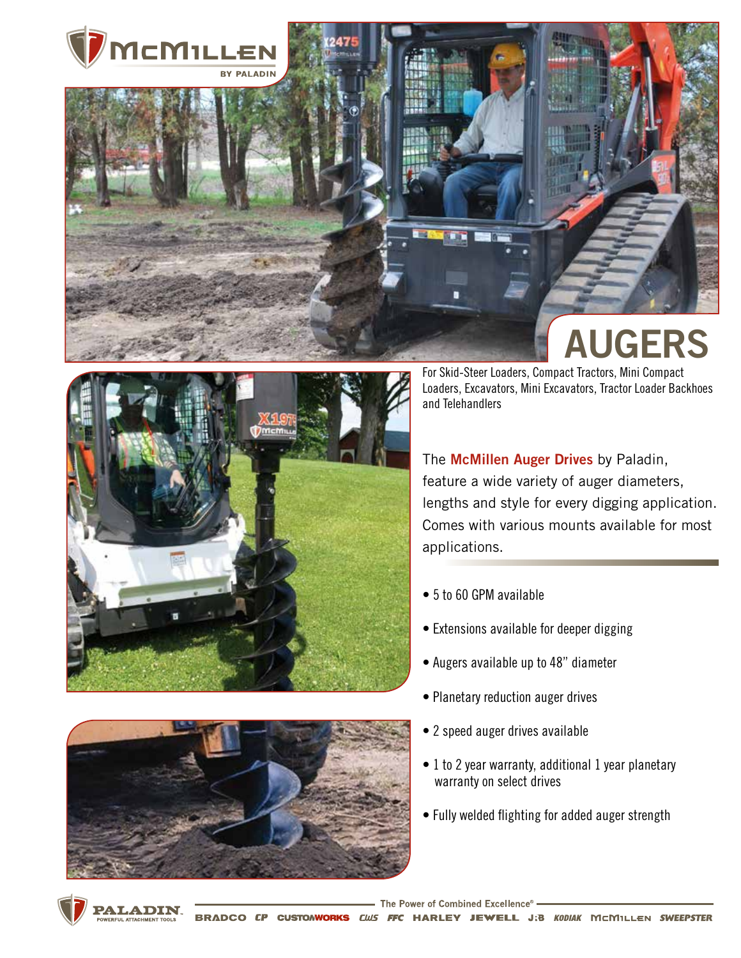



For Skid-Steer Loaders, Compact Tractors, Mini Compact Loaders, Excavators, Mini Excavators, Tractor Loader Backhoes and Telehandlers

The **McMillen Auger Drives** by Paladin, feature a wide variety of auger diameters, lengths and style for every digging application. Comes with various mounts available for most applications.

- 5 to 60 GPM available
- Extensions available for deeper digging
- Augers available up to 48" diameter
- Planetary reduction auger drives
- 2 speed auger drives available
- 1 to 2 year warranty, additional 1 year planetary warranty on select drives
- Fully welded flighting for added auger strength





**PALADIN CUSTOMWORKS CIUS** FFC HARLEY JEWELL J:B KODIAK MCMILLEN SWEEPSTER **BRADCO CP**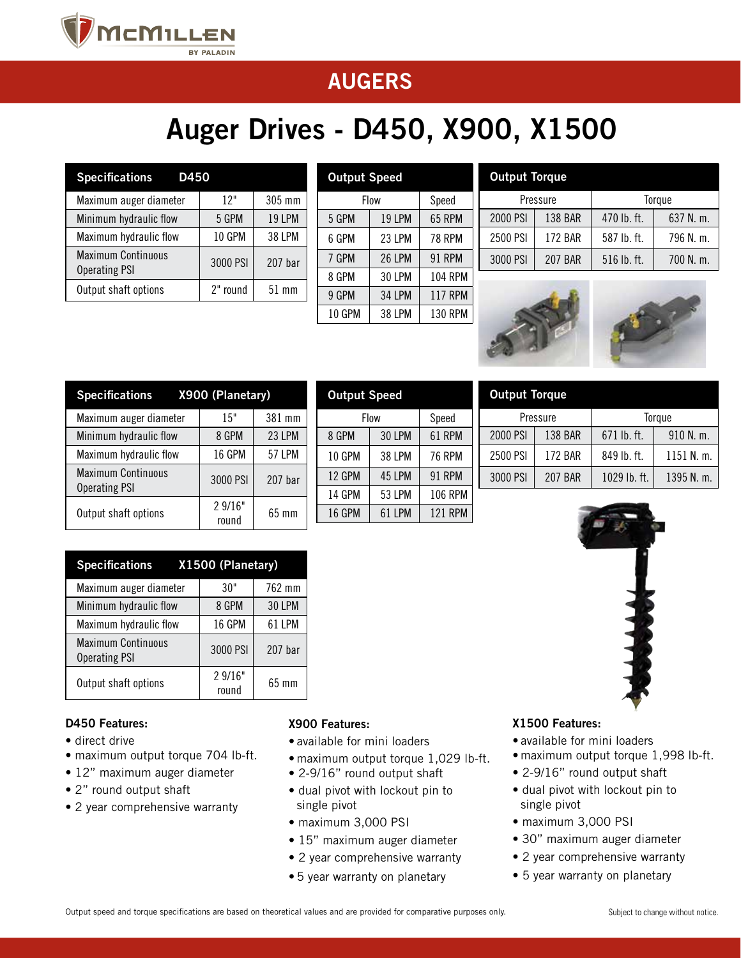

## **www.paladinations.com**

# Auger Drives - D450, X900, X1500

| <b>Specifications</b><br>D450                     |          |                    |
|---------------------------------------------------|----------|--------------------|
| Maximum auger diameter                            | 12"      | 305 mm             |
| Minimum hydraulic flow                            | 5 GPM    | <b>19 LPM</b>      |
| Maximum hydraulic flow                            | 10 GPM   | <b>38 LPM</b>      |
| <b>Maximum Continuous</b><br><b>Operating PSI</b> | 3000 PSI | 207 <sub>bar</sub> |
| Output shaft options                              | 2" round | $51 \text{ mm}$    |
|                                                   |          |                    |

| <b>Output Speed</b> |               |                |  |  |  |
|---------------------|---------------|----------------|--|--|--|
| Flow                | Speed         |                |  |  |  |
| 5 GPM               | 19 LPM        | 65 RPM         |  |  |  |
| 6 GPM               | 23 LPM        | <b>78 RPM</b>  |  |  |  |
| 7 GPM               | <b>26 LPM</b> | 91 RPM         |  |  |  |
| 8 GPM               | <b>30 LPM</b> | <b>104 RPM</b> |  |  |  |
| 9 GPM               | <b>34 LPM</b> | <b>117 RPM</b> |  |  |  |
| 10 GPM              | <b>38 LPM</b> | <b>130 RPM</b> |  |  |  |

Output Speed

Flow Speed 8 GPM 30 LPM 61 RPM 10 GPM 38 LPM 76 RPM 12 GPM | 45 LPM | 91 RPM 14 GPM | 53 LPM | 106 RPM 16 GPM | 61 LPM | 121 RPM

| <b>Output Torque</b> |                |               |             |
|----------------------|----------------|---------------|-------------|
|                      | Pressure       |               | Torque      |
| 2000 PSI             | <b>138 BAR</b> | 470 lb. ft.   | 637 N. m.   |
| 2500 PSI             | <b>172 BAR</b> | 587 lb. ft.   | 796 N.m.    |
| 3000 PSI             | <b>207 BAR</b> | $516$ lb. ft. | $700$ N, m. |



Pressure | Torque 2000 PSI | 138 BAR | 671 lb. ft. | 910 N. m. 2500 PSI | 172 BAR | 849 lb. ft. | 1151 N. m. 3000 PSI | 207 BAR | 1029 lb. ft. | 1395 N. m.

Output Torque

| <b>Specifications</b>                             | X900 (Planetary) |               |
|---------------------------------------------------|------------------|---------------|
| Maximum auger diameter                            | 15"              | 381 mm        |
| Minimum hydraulic flow                            | 8 GPM            | 23 LPM        |
| Maximum hydraulic flow                            | <b>16 GPM</b>    | <b>57 LPM</b> |
| <b>Maximum Continuous</b><br><b>Operating PSI</b> | 3000 PSI         | $207b$ ar     |
| Output shaft options                              | 2 9/16"<br>round | 65 mm         |

| Specifications X1500 (Planetary)                  |                  |               |
|---------------------------------------------------|------------------|---------------|
| Maximum auger diameter                            | 30"              | 762 mm        |
| Minimum hydraulic flow                            | 8 GPM            | <b>30 LPM</b> |
| Maximum hydraulic flow                            | 16 GPM           | 61 LPM        |
| <b>Maximum Continuous</b><br><b>Operating PSI</b> | 3000 PSI         | $207b$ ar     |
| Output shaft options                              | 2 9/16"<br>round | 65 mm         |

#### D450 Features:

- direct drive
- maximum output torque 704 lb-ft.
- 12" maximum auger diameter
- 2" round output shaft
- 2 year comprehensive warranty

# X900 Features:

- available for mini loaders
- maximum output torque 1,029 lb-ft.
- 2-9/16" round output shaft
- dual pivot with lockout pin to single pivot
- maximum 3,000 PSI
- 15" maximum auger diameter
- 2 year comprehensive warranty
- 5 year warranty on planetary

#### X1500 Features:

- available for mini loaders
- maximum output torque 1,998 lb-ft.
- 2-9/16" round output shaft
- dual pivot with lockout pin to single pivot
- maximum 3,000 PSI
- 30" maximum auger diameter
- 2 year comprehensive warranty
- 5 year warranty on planetary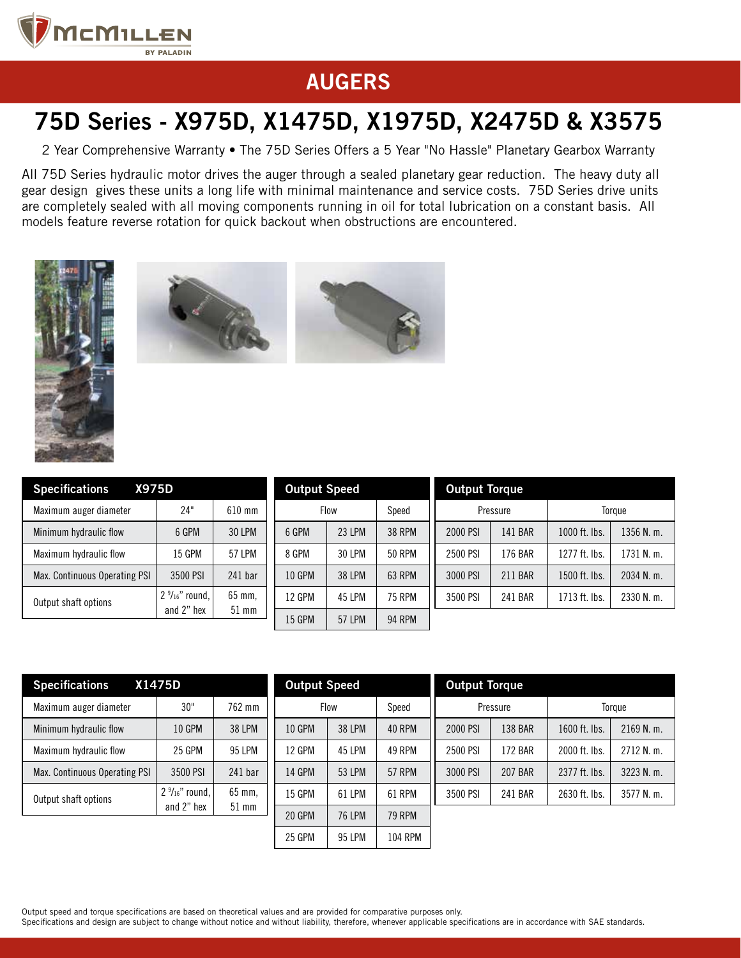

## 75D Series - X975D, X1475D, X1975D, X2475D & X3575

2 Year Comprehensive Warranty • The 75D Series Offers a 5 Year "No Hassle" Planetary Gearbox Warranty

All 75D Series hydraulic motor drives the auger through a sealed planetary gear reduction. The heavy duty all gear design gives these units a long life with minimal maintenance and service costs. 75D Series drive units are completely sealed with all moving components running in oil for total lubrication on a constant basis. All models feature reverse rotation for quick backout when obstructions are encountered.







| <b>Specifications</b><br><b>X975D</b> |                                        |                   |
|---------------------------------------|----------------------------------------|-------------------|
| Maximum auger diameter                | 24"                                    | 610 mm            |
| Minimum hydraulic flow                | 6 GPM                                  | 30 LPM            |
| Maximum hydraulic flow                | <b>15 GPM</b>                          | 57 LPM            |
| Max. Continuous Operating PSI         | 3500 PSI                               | $241$ bar         |
| Output shaft options                  | $2\frac{9}{16}$ " round,<br>and 2" hex | 65 mm,<br>$51$ mm |

| <b>Output Speed</b> |               |               | <b>Output Torque</b> |          |               |              |
|---------------------|---------------|---------------|----------------------|----------|---------------|--------------|
|                     | Flow          | Speed         |                      | Pressure |               | Torque       |
| 6 GPM               | <b>23 LPM</b> | <b>38 RPM</b> | 2000 PSI             | 141 BAR  | 1000 ft. lbs. | $1356$ N. m. |
| 8 GPM               | 30 LPM        | <b>50 RPM</b> | 2500 PSI             | 176 BAR  | 1277 ft. lbs. | 1731 N. m.   |
| <b>10 GPM</b>       | <b>38 LPM</b> | 63 RPM        | 3000 PSI             | 211 BAR  | 1500 ft. lbs. | 2034 N. m.   |
| <b>12 GPM</b>       | 45 LPM        | <b>75 RPM</b> | 3500 PSI             | 241 BAR  | 1713 ft. lbs. | $2330$ N. m. |
| <b>15 GPM</b>       | <b>57 LPM</b> | <b>94 RPM</b> |                      |          |               |              |

| <b>Specifications</b>         | X1475D                                  |                   |
|-------------------------------|-----------------------------------------|-------------------|
| Maximum auger diameter        | 30"                                     | 762 mm            |
| Minimum hydraulic flow        | 10 GPM                                  | <b>38 LPM</b>     |
| Maximum hydraulic flow        | 25 GPM                                  | 95 LPM            |
| Max. Continuous Operating PSI | 3500 PSI                                | 241 har           |
| Output shaft options          | $2 \frac{9}{16}$ " round,<br>and 2" hex | 65 mm.<br>$51$ mm |

| <b>Output Speed</b> |               |               | <b>Output Torque</b> |                |               |            |
|---------------------|---------------|---------------|----------------------|----------------|---------------|------------|
|                     | <b>Flow</b>   | Speed         | Pressure             |                |               | Torque     |
| <b>10 GPM</b>       | <b>38 LPM</b> | <b>40 RPM</b> | 2000 PSI             | <b>138 BAR</b> | 1600 ft. lbs. | 2169 N.m.  |
| <b>12 GPM</b>       | 45 LPM        | 49 RPM        | 2500 PSI             | <b>172 BAR</b> | 2000 ft. lbs. | 2712 N. m. |
| <b>14 GPM</b>       | 53 LPM        | <b>57 RPM</b> | 3000 PSI             | <b>207 BAR</b> | 2377 ft. lbs. | 3223 N. m. |
| <b>15 GPM</b>       | 61 I PM       | 61 RPM        | 3500 PSI             | 241 BAR        | 2630 ft. lbs. | 3577 N. m. |
| 20 GPM              | 76 I PM       | <b>79 RPM</b> |                      |                |               |            |
| 25 GPM              | 95 LPM        | 104 RPM       |                      |                |               |            |

Output speed and torque specifications are based on theoretical values and are provided for comparative purposes only.

Specifications and design are subject to change without notice and without liability, therefore, whenever applicable specifications are in accordance with SAE standards.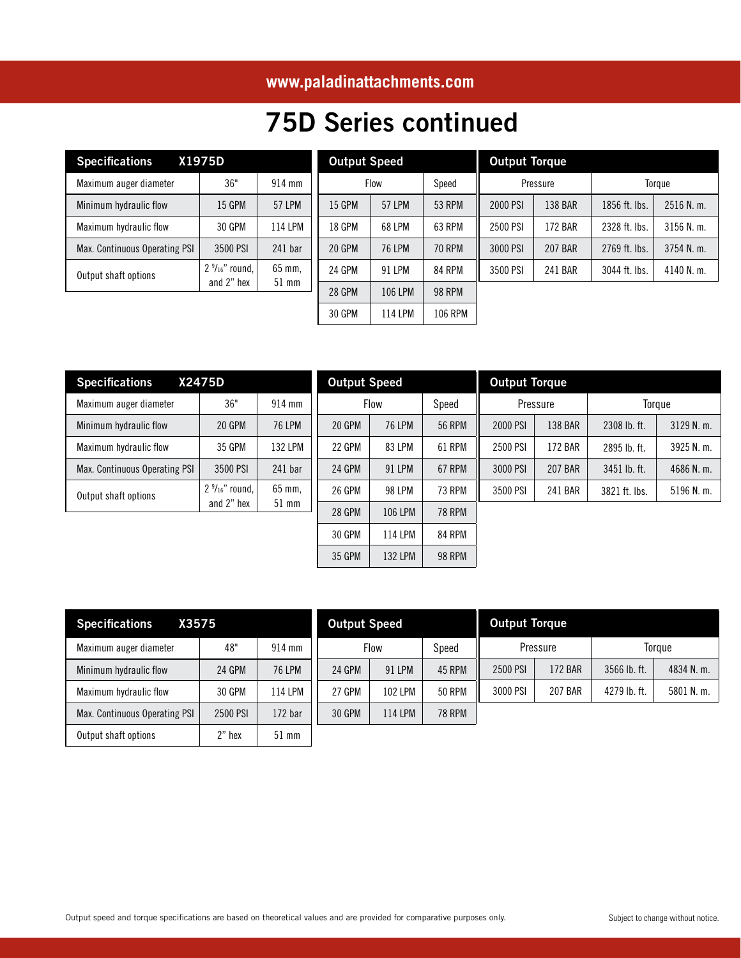## **www.paladinattachments.com**

## 75D Series continued

| <b>Specifications</b>         | X1975D                                  |                   |
|-------------------------------|-----------------------------------------|-------------------|
| Maximum auger diameter        | 36"                                     | 914 mm            |
| Minimum hydraulic flow        | <b>15 GPM</b>                           | <b>57 LPM</b>     |
| Maximum hydraulic flow        | 30 GPM                                  | 114 LPM           |
| Max. Continuous Operating PSI | 3500 PSI                                | $241$ bar         |
| Output shaft options          | $2 \frac{9}{16}$ " round,<br>and 2" hex | 65 mm,<br>$51$ mm |

| <b>Output Speed</b> |                |               | <b>Output Torque</b> |                |               |        |
|---------------------|----------------|---------------|----------------------|----------------|---------------|--------|
|                     | <b>Flow</b>    | Speed         |                      | Pressure       |               | Torque |
| <b>15 GPM</b>       | <b>57 LPM</b>  | <b>53 RPM</b> | 2000 PSI             | 138 BAR        | 1856 ft. lbs. | 25     |
| <b>18 GPM</b>       | 68 LPM         | 63 RPM        | 2500 PSI             | <b>172 BAR</b> | 2328 ft. lbs. | 31     |
| 20 GPM              | <b>76 LPM</b>  | <b>70 RPM</b> | 3000 PSI             | <b>207 BAR</b> | 2769 ft. lbs. | 37     |
| 24 GPM              | 91 LPM         | 84 RPM        | 3500 PSI             | 241 BAR        | 3044 ft. lbs. | 41     |
| 28 GPM              | <b>106 LPM</b> | <b>98 RPM</b> |                      |                |               |        |
| 30 GPM              | 114 LPM        | 106 RPM       |                      |                |               |        |

| <b>Specifications</b><br>X2475D |                                         |                   |  |  |  |  |
|---------------------------------|-----------------------------------------|-------------------|--|--|--|--|
| Maximum auger diameter          | 36"                                     | 914 mm            |  |  |  |  |
| Minimum hydraulic flow          | 20 GPM                                  | <b>76 LPM</b>     |  |  |  |  |
| Maximum hydraulic flow          | 35 GPM                                  | <b>132 LPM</b>    |  |  |  |  |
| Max. Continuous Operating PSI   | 3500 PSI                                | $241$ bar         |  |  |  |  |
| Output shaft options            | $2 \frac{9}{16}$ " round,<br>and 2" hex | 65 mm,<br>$51$ mm |  |  |  |  |

| <b>Output Speed</b> |                |               | <b>Output Torque</b> |                |                |              |
|---------------------|----------------|---------------|----------------------|----------------|----------------|--------------|
| <b>Flow</b>         |                | Speed         | Pressure             |                | Torque         |              |
| 20 GPM              | <b>76 LPM</b>  | <b>56 RPM</b> | 2000 PSI             | <b>138 BAR</b> | $2308$ lb. ft. | 3129 N. m.   |
| 22 GPM              | 83 LPM         | 61 RPM        | 2500 PSI             | 172 BAR        | 2895 lb. ft.   | 3925 N. m.   |
| 24 GPM              | 91 LPM         | 67 RPM        | 3000 PSI             | <b>207 BAR</b> | 3451 lb. ft.   | 4686 N.m.    |
| <b>26 GPM</b>       | 98 LPM         | <b>73 RPM</b> | 3500 PSI             | 241 BAR        | 3821 ft. lbs.  | $5196$ N. m. |
| <b>28 GPM</b>       | 106 LPM        | <b>78 RPM</b> |                      |                |                |              |
| 30 GPM              | <b>114 LPM</b> | 84 RPM        |                      |                |                |              |
| 35 GPM              | 132 LPM        | <b>98 RPM</b> |                      |                |                |              |

| X3575<br><b>Specifications</b> | <b>Output Speed</b> |                    |        | <b>Output Torque</b> |               |          |                |                |            |
|--------------------------------|---------------------|--------------------|--------|----------------------|---------------|----------|----------------|----------------|------------|
| Maximum auger diameter         | 48"                 | $914$ mm           |        | Flow                 | Speed         |          | Pressure       |                | Toraue     |
| Minimum hydraulic flow         | 24 GPM              | <b>76 LPM</b>      | 24 GPM | 91 LPM               | 45 RPM        | 2500 PSI | 172 BAR        | $3566$ lb. ft. | 4834 N. m. |
| Maximum hydraulic flow         | 30 GPM              | 114 LPM            | 27 GPM | 102 LPM              | <b>50 RPM</b> | 3000 PSI | <b>207 BAR</b> | 4279 lb. ft.   | 5801 N.m.  |
| Max. Continuous Operating PSI  | 2500 PSI            | 172 <sub>bar</sub> | 30 GPM | <b>114 LPM</b>       | <b>78 RPM</b> |          |                |                |            |
| Output shaft options           | $2"$ hex            | $51$ mm            |        |                      |               |          |                |                |            |

2516 N. m. 3156 N. m. 3754 N. m. 4140 N. m.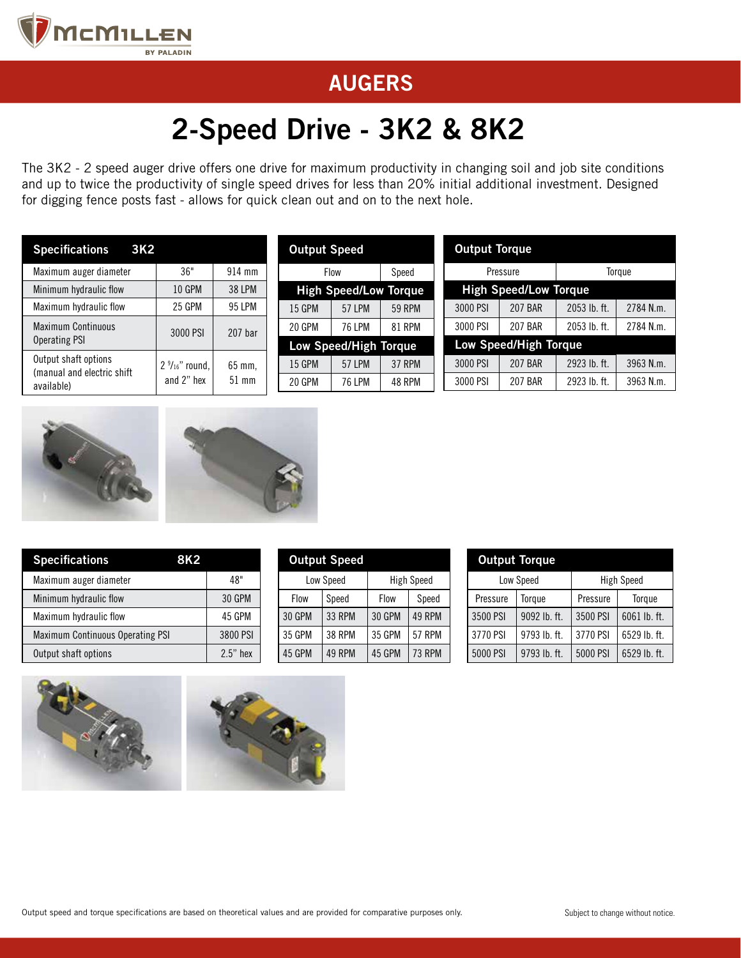

# 2-Speed Drive - 3K2 & 8K2

The 3K2 - 2 speed auger drive offers one drive for maximum productivity in changing soil and job site conditions and up to twice the productivity of single speed drives for less than 20% initial additional investment. Designed for digging fence posts fast - allows for quick clean out and on to the next hole.

| <b>Specifications</b><br>3K <sub>2</sub>            |                          | <b>Output Speed</b> |               |                              | <b>Output Torque</b> |  |          |                              |              |           |
|-----------------------------------------------------|--------------------------|---------------------|---------------|------------------------------|----------------------|--|----------|------------------------------|--------------|-----------|
| Maximum auger diameter                              | 36"                      | $914$ mm            |               | Flow<br>Speed                |                      |  | Pressure |                              | Toraue       |           |
| Minimum hydraulic flow                              | <b>10 GPM</b>            | <b>38 LPM</b>       |               | <b>High Speed/Low Torque</b> |                      |  |          | <b>High Speed/Low Torque</b> |              |           |
| Maximum hydraulic flow                              | 25 GPM                   | 95 LPM              | <b>15 GPM</b> | <b>57 LPM</b>                | <b>59 RPM</b>        |  | 3000 PSI | <b>207 BAR</b>               | 2053 lb. ft. | 2784 N.m. |
| <b>Maximum Continuous</b>                           | 3000 PSI                 | 207 <sub>bar</sub>  | 20 GPM        | <b>76 LPM</b>                | <b>81 RPM</b>        |  | 3000 PSI | <b>207 BAR</b>               | 2053 lb. ft. | 2784 N.m. |
| Operating PSI                                       |                          |                     |               | Low Speed/High Torque        |                      |  |          | <b>Low Speed/High Torque</b> |              |           |
| Output shaft options<br>(manual and electric shift) | $2\frac{9}{16}$ " round, | 65 mm.              | <b>15 GPM</b> | <b>57 LPM</b>                | <b>37 RPM</b>        |  | 3000 PSI | <b>207 BAR</b>               | 2923 lb. ft. | 3963 N.m. |
| available)                                          | and 2" hex               | $51$ mm             | 20 GPM        | <b>76 LPM</b>                | 48 RPM               |  | 3000 PSI | <b>207 BAR</b>               | 2923 lb. ft. | 3963 N.m. |





| <b>Specifications</b><br>8K2            |               |
|-----------------------------------------|---------------|
| Maximum auger diameter                  | 48"           |
| Minimum hydraulic flow                  | <b>30 GPM</b> |
| Maximum hydraulic flow                  | 45 GPM        |
| <b>Maximum Continuous Operating PSI</b> | 3800 PSI      |
| Output shaft options                    | $2.5"$ hex    |

| <b>Output Speed</b> |               |               |                   |  |  |  |  |
|---------------------|---------------|---------------|-------------------|--|--|--|--|
|                     | Low Speed     |               | <b>High Speed</b> |  |  |  |  |
| Flow                | Speed         | Flow          | Speed             |  |  |  |  |
| <b>30 GPM</b>       | <b>33 RPM</b> | <b>30 GPM</b> | 49 RPM            |  |  |  |  |
| 35 GPM              | <b>38 RPM</b> | 35 GPM        | <b>57 RPM</b>     |  |  |  |  |
| 45 GPM              | 49 RPM        | 45 GPM        | <b>73 RPM</b>     |  |  |  |  |

| <b>Output Torque</b> |                |                   |              |  |  |  |
|----------------------|----------------|-------------------|--------------|--|--|--|
|                      | Low Speed      | <b>High Speed</b> |              |  |  |  |
| Pressure             | Torque         | Pressure          | Torque       |  |  |  |
| 3500 PSI             | $9092$ lb. ft. | 3500 PSI          | 6061 lb. ft. |  |  |  |
| 3770 PSI             | 9793 lb. ft.   | 3770 PSI          | 6529 lb. ft. |  |  |  |
| 5000 PSI             | 9793 lb. ft.   | 5000 PSI          | 6529 lb. ft. |  |  |  |



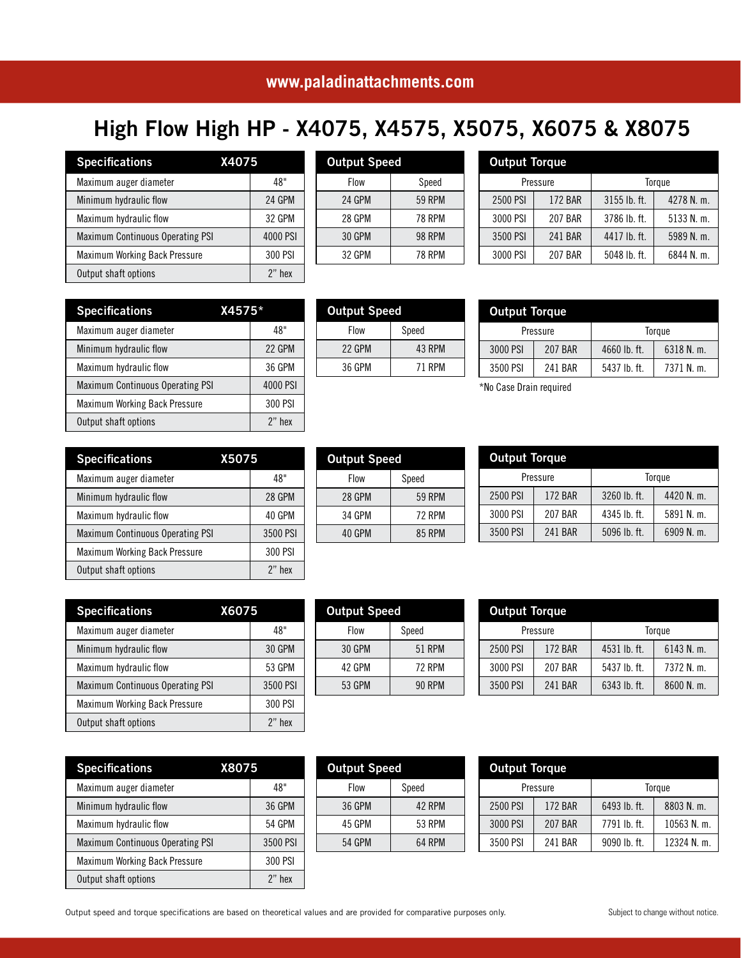#### **www.paladinattachments.com**

Output Speed

## High Flow High HP - X4075, X4575, X5075, X6075 & X8075

Flow | Speed 24 GPM | 59 RPM 28 GPM 78 RPM 30 GPM 98 RPM 32 GPM 78 RPM

| <b>Specifications</b><br><b>X4075</b>   |          |
|-----------------------------------------|----------|
| Maximum auger diameter                  | 48"      |
| Minimum hydraulic flow                  | 24 GPM   |
| Maximum hydraulic flow                  | 32 GPM   |
| <b>Maximum Continuous Operating PSI</b> | 4000 PSI |
| Maximum Working Back Pressure           | 300 PSI  |
| Output shaft options                    | $2"$ hex |

| z nex    |
|----------|
|          |
|          |
| 48"      |
| 22 GPM   |
| 36 GPM   |
| 4000 PSI |
| 300 PSI  |
| $2"$ hex |
| $X4575*$ |

| <b>Specifications</b>                   | X5075    |
|-----------------------------------------|----------|
| Maximum auger diameter                  | 48"      |
| Minimum hydraulic flow                  | 28 GPM   |
| Maximum hydraulic flow                  | 40 GPM   |
| <b>Maximum Continuous Operating PSI</b> | 3500 PSI |
| <b>Maximum Working Back Pressure</b>    | 300 PSI  |
| Output shaft options                    | $2"$ hex |

| <b>Specifications</b>                   | X6075    |
|-----------------------------------------|----------|
| Maximum auger diameter                  | 48"      |
| Minimum hydraulic flow                  | 30 GPM   |
| Maximum hydraulic flow                  | 53 GPM   |
| <b>Maximum Continuous Operating PSI</b> | 3500 PSI |
| <b>Maximum Working Back Pressure</b>    | 300 PSI  |
| Output shaft options                    | $2"$ hex |

| <b>Specifications</b><br><b>X8075</b>   |           |
|-----------------------------------------|-----------|
| Maximum auger diameter                  | 48"       |
| Minimum hydraulic flow                  | 36 GPM    |
| Maximum hydraulic flow                  | 54 GPM    |
| <b>Maximum Continuous Operating PSI</b> | 3500 PSI  |
| Maximum Working Back Pressure           | 300 PSI   |
| Output shaft options                    | $2$ " hex |

| <b>Output Speed</b> |               |  |  |  |  |
|---------------------|---------------|--|--|--|--|
| Flow                | Speed         |  |  |  |  |
| 30 GPM              | 51 RPM        |  |  |  |  |
| 42 GPM              | <b>72 RPM</b> |  |  |  |  |
| 53 GPM              | <b>90 RPM</b> |  |  |  |  |
|                     |               |  |  |  |  |

| <b>Output Speed</b>     |               |  |  |  |
|-------------------------|---------------|--|--|--|
| Flow                    | Speed         |  |  |  |
| 30 GPM                  | 51 RPM        |  |  |  |
| 42 GPM                  | <b>72 RPM</b> |  |  |  |
| 53 GPM<br><b>90 RPM</b> |               |  |  |  |
|                         |               |  |  |  |

| <b>Output Torque</b> |                |              |              |
|----------------------|----------------|--------------|--------------|
|                      | Pressure       |              | Torque       |
| 2500 PSI             | 172 BAR        | 4531 lb. ft. | 6143 N. m.   |
| 3000 PSI             | 207 BAR        | 5437 lb. ft. | 7372 N. m.   |
| 3500 PSI             | <b>241 BAR</b> | 6343 lb. ft. | $8600$ N. m. |

| <b>Output Speed</b> |        |  |  |  |
|---------------------|--------|--|--|--|
| Flow                | Speed  |  |  |  |
| 36 GPM              | 42 RPM |  |  |  |
| 45 GPM              | 53 RPM |  |  |  |
| 54 GPM<br>64 RPM    |        |  |  |  |
|                     |        |  |  |  |

| <b>Output Torque</b> |                |              |               |  |
|----------------------|----------------|--------------|---------------|--|
| Pressure             |                |              | Torque        |  |
| 2500 PSI             | <b>172 BAR</b> | 6493 lb. ft. | 8803 N.m.     |  |
| 3000 PSI             | 207 BAR        | 7791 lb. ft. | $10563$ N. m. |  |
| 3500 PSI             | 241 BAR        | 9090 lb. ft. | 12324 N. m.   |  |

| <b>Output Torque</b> |                |              |            |
|----------------------|----------------|--------------|------------|
| Pressure             |                |              | Torque     |
| 2500 PSI             | 172 BAR        | 3260 lb. ft. | 4420 N. m. |
| 3000 PSI             | 207 BAR        | 4345 lb. ft. | 5891 N.m.  |
| 3500 PSI             | <b>241 BAR</b> | 5096 lb. ft. | 6909 N. m. |

\*No Case Drain required

Output Torque

|  | <b>Output Speed</b> |               |
|--|---------------------|---------------|
|  | Flow                | Speed         |
|  | <b>22 GPM</b>       | <b>43 RPM</b> |
|  | 36 GPM              | 71 RPM        |
|  |                     |               |

Output Speed

Flow Speed 28 GPM | 59 RPM 34 GPM 72 RPM 40 GPM 85 RPM

|              |              | <b>Output Torque</b> |          |  |  |
|--------------|--------------|----------------------|----------|--|--|
| Torque       |              | Pressure             |          |  |  |
| 4278 N. m.   | 3155 lb. ft. | <b>172 BAR</b>       | 2500 PSI |  |  |
| $5133$ N. m. | 3786 lb. ft. | <b>207 BAR</b>       | 3000 PSI |  |  |
| 5989 N. m.   | 4417 lb. ft. | 241 BAR              | 3500 PSI |  |  |
| 6844 N.m.    | 5048 lb. ft. | 207 BAR              | 3000 PSI |  |  |
|              |              |                      |          |  |  |

Pressure | Torque 3000 PSI | 207 BAR | 4660 lb. ft. | 6318 N. m. 3500 PSI | 241 BAR | 5437 lb. ft. | 7371 N. m.

| Output speed and torque specifications are based on theoretical values and are provided for comparative purposes only. |  |
|------------------------------------------------------------------------------------------------------------------------|--|
|------------------------------------------------------------------------------------------------------------------------|--|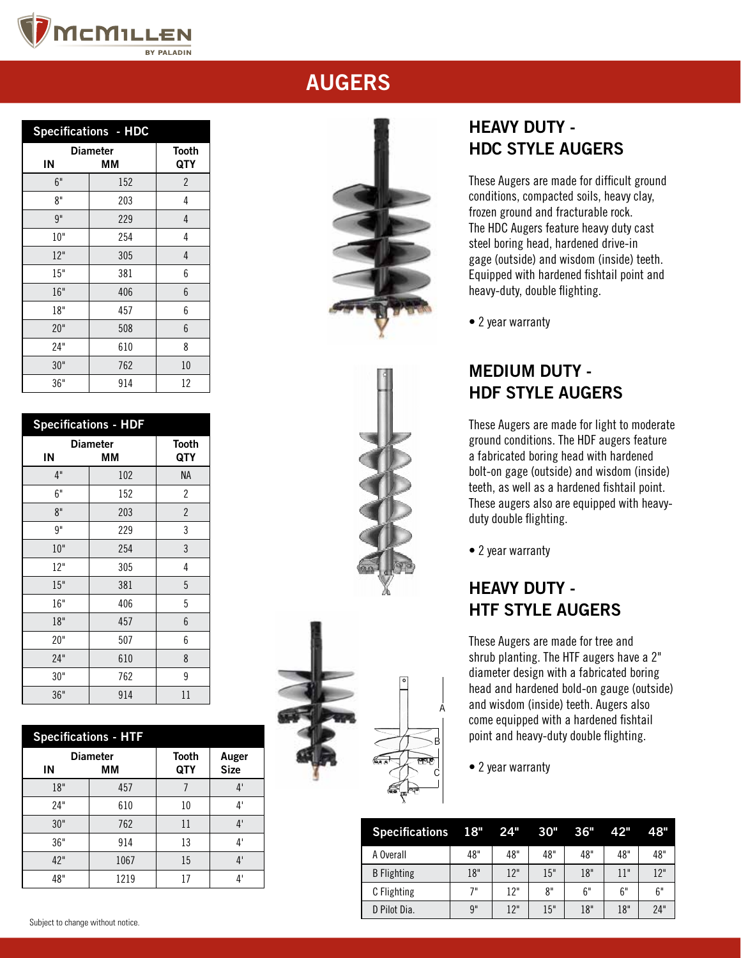

| <b>Specifications - HDC</b> |                       |                |  |
|-----------------------------|-----------------------|----------------|--|
| IN                          | <b>Diameter</b><br>MМ |                |  |
| 6"                          | 152                   | $\overline{2}$ |  |
| 8"                          | 203                   | 4              |  |
| 9"                          | 229                   | 4              |  |
| 10"                         | 254                   | 4              |  |
| 12"                         | 305                   | 4              |  |
| 15"                         | 381                   | 6              |  |
| 16"                         | 406                   | 6              |  |
| 18"                         | 457                   | 6              |  |
| 20"                         | 508                   | 6              |  |
| 24"                         | 610                   | 8              |  |
| 30"                         | 762                   | 10             |  |
| 36"                         | 914                   | 12             |  |

| <b>Specifications - HDF</b> |                       |                     |  |
|-----------------------------|-----------------------|---------------------|--|
| IN                          | <b>Diameter</b><br>MМ | <b>Tooth</b><br>QTY |  |
| 4"                          | 102                   | <b>NA</b>           |  |
| 6"                          | 152                   | $\overline{2}$      |  |
| 8"                          | 203                   | $\overline{2}$      |  |
| 9"                          | 229                   | 3                   |  |
| 10"                         | 254                   | 3                   |  |
| 12"                         | 305                   | 4                   |  |
| 15"                         | 381                   | 5                   |  |
| 16"                         | 406                   | 5                   |  |
| 18"                         | 457                   | 6                   |  |
| 20"                         | 507                   | 6                   |  |
| 24"                         | 610                   | 8                   |  |
| 30"                         | 762                   | 9                   |  |
| 36"                         | 914                   | 11                  |  |

| <b>Specifications - HTF</b> |                       |                     |                      |  |  |
|-----------------------------|-----------------------|---------------------|----------------------|--|--|
| ΙN                          | <b>Diameter</b><br>MМ | <b>Tooth</b><br>QTY | Auger<br><b>Size</b> |  |  |
| 18"                         | 457                   |                     | 4'                   |  |  |
| 24"                         | 610                   | 10                  | $4^{\circ}$          |  |  |
| 30"                         | 762                   | 11                  | 4'                   |  |  |
| 36"                         | 914                   | 13                  | $4^{\circ}$          |  |  |
| 42"                         | 1067                  | 15                  | 4'                   |  |  |
| 48"                         | 1219                  | 17                  | Δ'                   |  |  |







## HEAVY DUTY - HDC STYLE AUGERS

These Augers are made for difficult ground conditions, compacted soils, heavy clay, frozen ground and fracturable rock. The HDC Augers feature heavy duty cast steel boring head, hardened drive-in gage (outside) and wisdom (inside) teeth. Equipped with hardened fishtail point and heavy-duty, double flighting.

• 2 year warranty

## MEDIUM DUTY - HDF STYLE AUGERS

These Augers are made for light to moderate ground conditions. The HDF augers feature a fabricated boring head with hardened bolt-on gage (outside) and wisdom (inside) teeth, as well as a hardened fishtail point. These augers also are equipped with heavyduty double flighting.

• 2 year warranty

## HEAVY DUTY - HTF STYLE AUGERS

These Augers are made for tree and shrub planting. The HTF augers have a 2" diameter design with a fabricated boring head and hardened bold-on gauge (outside) and wisdom (inside) teeth. Augers also come equipped with a hardened fishtail point and heavy-duty double flighting.

• 2 year warranty

A

| Specifications 18" 24" |     |     | 30" | 36" | 42" | 48"              |
|------------------------|-----|-----|-----|-----|-----|------------------|
| A Overall              | 48" | 48" | 48" | 48" | 48" | 48"              |
| <b>B</b> Flighting     | 18" | 12" | 15" | 18" | 11" | 12 <sup>11</sup> |
| C Flighting            | 7"  | 12" | 8"  | 6"  | 6"  | 6"               |
| D Pilot Dia.           | 9"  | 12" | 15" | 18" | 18" | 24"              |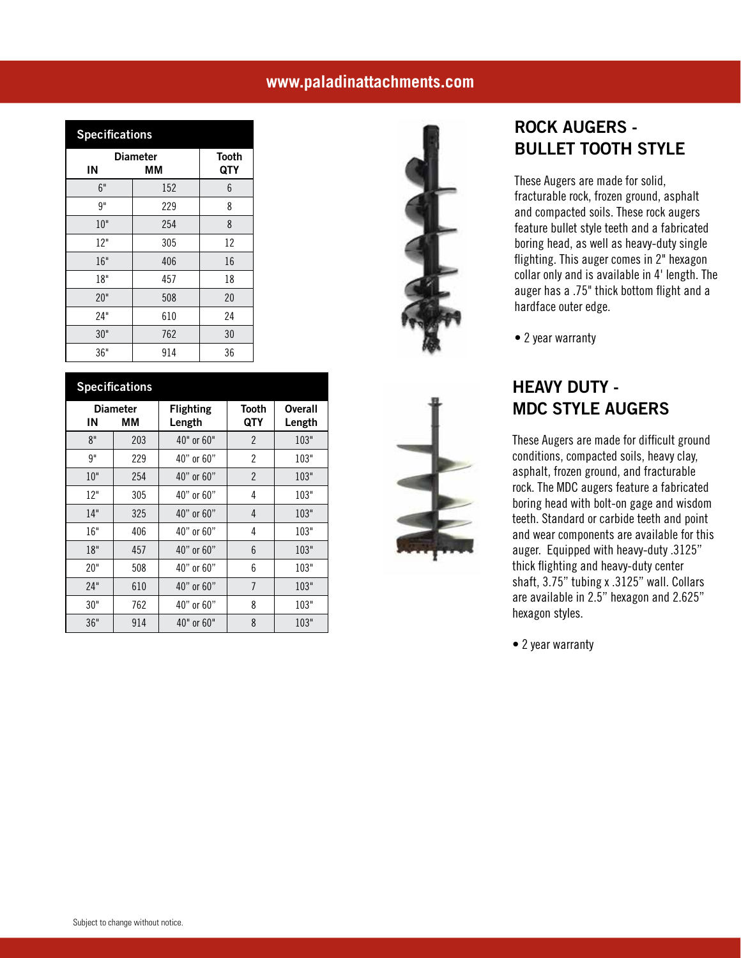#### **www.paladinattachments.com**

| <b>Specifications</b> |                     |    |  |  |  |
|-----------------------|---------------------|----|--|--|--|
| <b>Diameter</b><br>IN | <b>Tooth</b><br>QTY |    |  |  |  |
| 6"                    | ΜМ<br>152           | 6  |  |  |  |
| 9"                    | 229                 | 8  |  |  |  |
| 10"                   | 254                 | 8  |  |  |  |
| 12"                   | 305                 | 12 |  |  |  |
| 16"                   | 406                 | 16 |  |  |  |
| 18"                   | 457                 | 18 |  |  |  |
| 20"                   | 508                 | 20 |  |  |  |
| 24"                   | 610                 | 24 |  |  |  |
| 30"                   | 762                 | 30 |  |  |  |
| 36"                   | 914                 | 36 |  |  |  |

|     | <b>Specifications</b> |                            |                |                   |  |  |
|-----|-----------------------|----------------------------|----------------|-------------------|--|--|
| ΙN  | <b>Diameter</b><br>ΜМ | <b>Flighting</b><br>Length | Tooth<br>QTY   | Overall<br>Length |  |  |
| 8"  | 203                   | 40" or 60"                 | $\mathcal{P}$  | 103"              |  |  |
| 9"  | 229                   | 40" or 60"                 | $\overline{2}$ | 103"              |  |  |
| 10" | 254                   | 40" or 60"                 | $\overline{2}$ | 103"              |  |  |
| 12" | 305                   | 40" or 60"                 | 4              | 103"              |  |  |
| 14" | 325                   | 40" or 60"                 | 4              | 103"              |  |  |
| 16" | 406                   | 40" or 60"                 | 4              | 103"              |  |  |
| 18" | 457                   | 40" or 60"                 | 6              | 103"              |  |  |
| 20" | 508                   | 40" or 60"                 | 6              | 103"              |  |  |
| 24" | 610                   | 40" or 60"                 | $\overline{7}$ | 103"              |  |  |
| 30" | 762                   | 40" or 60"                 | 8              | 103"              |  |  |
| 36" | 914                   | 40" or 60"                 | 8              | 103"              |  |  |





#### ROCK AUGERS - BULLET TOOTH STYLE

These Augers are made for solid, fracturable rock, frozen ground, asphalt and compacted soils. These rock augers feature bullet style teeth and a fabricated boring head, as well as heavy-duty single flighting. This auger comes in 2" hexagon collar only and is available in 4' length. The auger has a .75" thick bottom flight and a hardface outer edge.

• 2 year warranty

#### HEAVY DUTY - MDC STYLE AUGERS

These Augers are made for difficult ground conditions, compacted soils, heavy clay, asphalt, frozen ground, and fracturable rock. The MDC augers feature a fabricated boring head with bolt-on gage and wisdom teeth. Standard or carbide teeth and point and wear components are available for this auger. Equipped with heavy-duty .3125" thick flighting and heavy-duty center shaft, 3.75" tubing x .3125" wall. Collars are available in 2.5" hexagon and 2.625" hexagon styles.

• 2 year warranty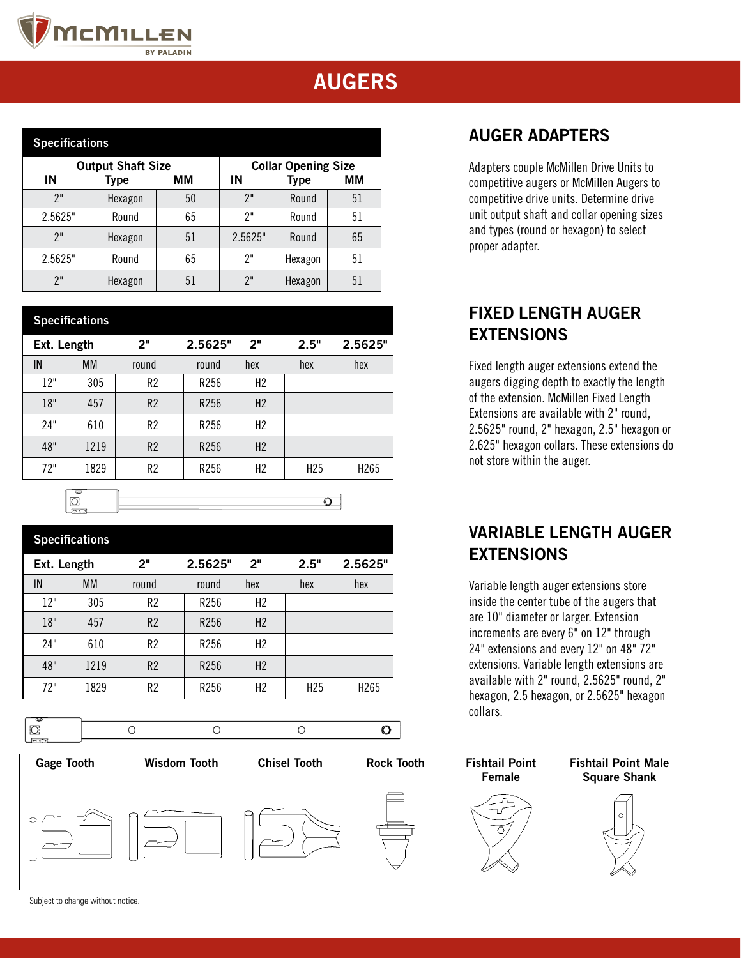

| <b>Specifications</b>    |         |    |                            |             |    |  |
|--------------------------|---------|----|----------------------------|-------------|----|--|
| <b>Output Shaft Size</b> |         |    | <b>Collar Opening Size</b> |             |    |  |
| ΙN                       | Type    | ΜМ | ΙN                         | <b>Type</b> | ΜМ |  |
| 2"                       | Hexagon | 50 | 2"                         | Round       | 51 |  |
| 2.5625"                  | Round   | 65 | 7"                         | Round       | 51 |  |
| 2"                       | Hexagon | 51 | 2.5625"                    | Round       | 65 |  |
| 2.5625"                  | Round   | 65 | 7"                         | Hexagon     | 51 |  |
| 2"                       | Hexagon | 51 | 2"                         | Hexagon     | 51 |  |

| <b>Specifications</b> |           |                |         |                |                 |                  |
|-----------------------|-----------|----------------|---------|----------------|-----------------|------------------|
| Ext. Length           |           | 2 <sup>n</sup> | 2.5625" | 2"             | 2.5"            | 2.5625"          |
| IN                    | <b>MM</b> | round          | round   | hex            | hex             | hex              |
| 12"                   | 305       | R <sub>2</sub> | R256    | H <sub>2</sub> |                 |                  |
| 18"                   | 457       | R2             | R256    | H <sub>2</sub> |                 |                  |
| 24"                   | 610       | R <sub>2</sub> | R256    | H <sub>2</sub> |                 |                  |
| 48"                   | 1219      | R <sub>2</sub> | R256    | H2             |                 |                  |
| 72"                   | 1829      | R <sub>2</sub> | R256    | H <sub>2</sub> | H <sub>25</sub> | H <sub>265</sub> |
| ∩<br>le ol            |           |                |         |                |                 |                  |

| <b>Specifications</b> |           |                |                  |                |                 |                  |
|-----------------------|-----------|----------------|------------------|----------------|-----------------|------------------|
| Ext. Length           |           | 2"             | 2.5625"          | 2"             | 2.5"            | 2.5625"          |
| IN                    | <b>MM</b> | round          | round            | hex            | hex             | hex              |
| 12"                   | 305       | R <sub>2</sub> | R <sub>256</sub> | H2             |                 |                  |
| 18"                   | 457       | R <sub>2</sub> | R <sub>256</sub> | H2             |                 |                  |
| 24"                   | 610       | R <sub>2</sub> | R <sub>256</sub> | H <sub>2</sub> |                 |                  |
| 48"                   | 1219      | R <sub>2</sub> | R <sub>256</sub> | H <sub>2</sub> |                 |                  |
| 72"                   | 1829      | R <sub>2</sub> | R <sub>256</sub> | H <sub>2</sub> | H <sub>25</sub> | H <sub>265</sub> |

 $\overline{\circ}$ 

 $\overline{O}$ 



 $\overline{\circ}$ 

 $\overline{\circ}$ 

 $\circ$ 

Adapters couple McMillen Drive Units to competitive augers or McMillen Augers to

AUGER ADAPTERS

competitive drive units. Determine drive unit output shaft and collar opening sizes and types (round or hexagon) to select proper adapter.

## FIXED LENGTH AUGER EXTENSIONS

Fixed length auger extensions extend the augers digging depth to exactly the length of the extension. McMillen Fixed Length Extensions are available with 2" round, 2.5625" round, 2" hexagon, 2.5" hexagon or 2.625" hexagon collars. These extensions do not store within the auger.

#### VARIABLE LENGTH AUGER EXTENSIONS

Variable length auger extensions store inside the center tube of the augers that are 10" diameter or larger. Extension increments are every 6" on 12" through 24" extensions and every 12" on 48" 72" extensions. Variable length extensions are available with 2" round, 2.5625" round, 2" hexagon, 2.5 hexagon, or 2.5625" hexagon collars.



Subject to change without notice.